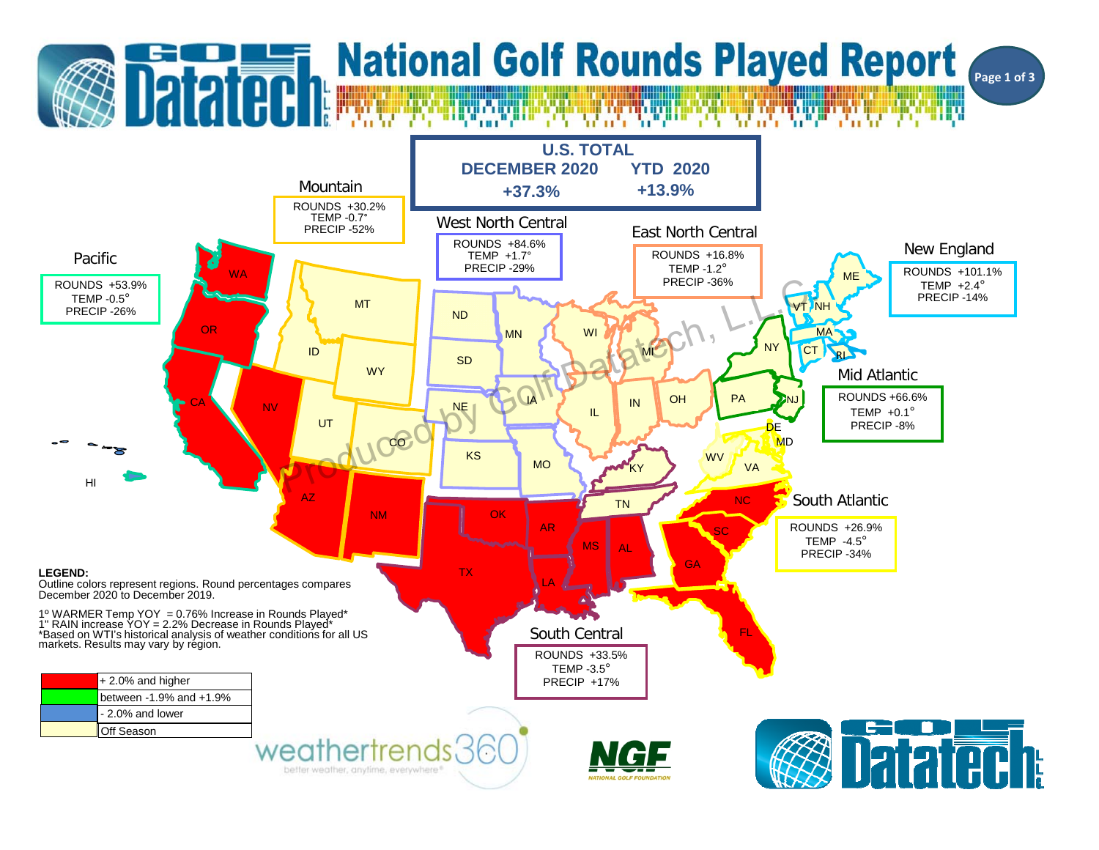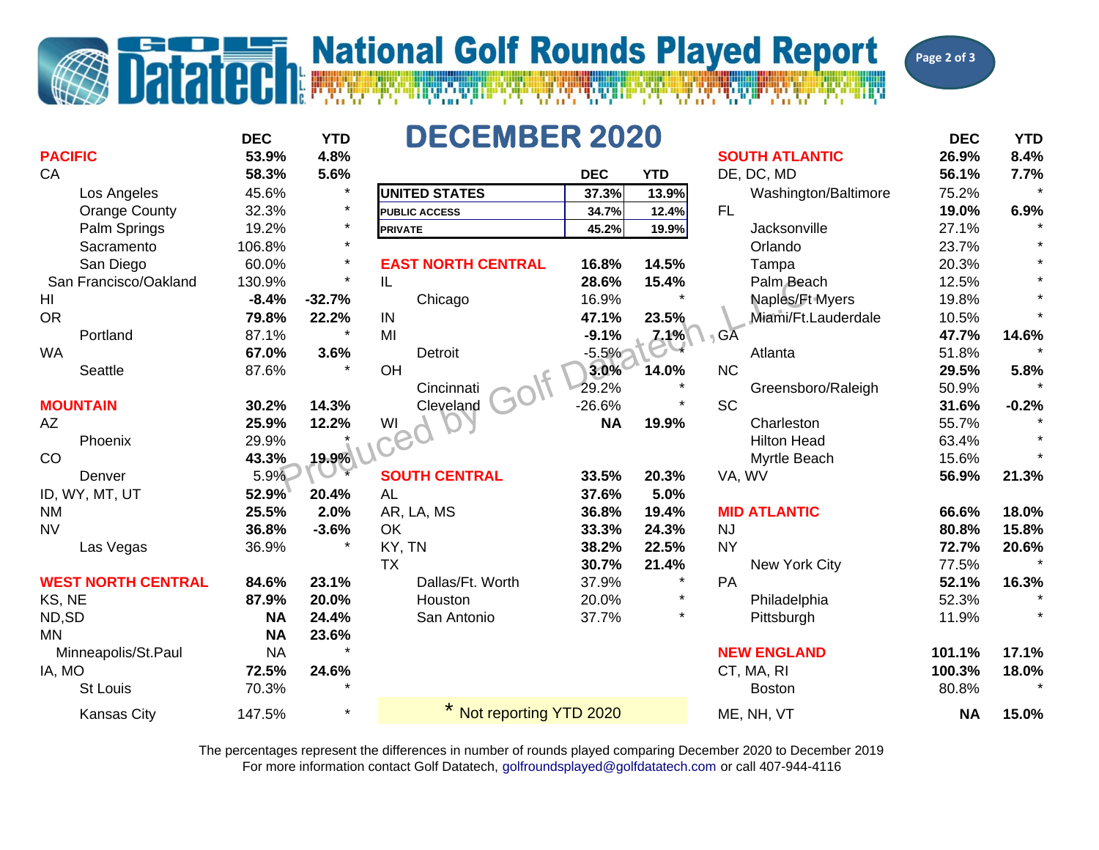## **Datatech Mational Golf Rounds Played Report**

**Page 2 of 3**

|                           | <b>DEC</b> | <b>YTD</b> | <b>DECEMBER 2020</b>      |            |            |                       | <b>DEC</b> | <b>YTD</b> |
|---------------------------|------------|------------|---------------------------|------------|------------|-----------------------|------------|------------|
| <b>PACIFIC</b>            | 53.9%      | 4.8%       |                           |            |            | <b>SOUTH ATLANTIC</b> | 26.9%      | 8.4%       |
| CA                        | 58.3%      | 5.6%       |                           | <b>DEC</b> | <b>YTD</b> | DE, DC, MD            | 56.1%      | 7.7%       |
| Los Angeles               | 45.6%      |            | <b>UNITED STATES</b>      | 37.3%      | 13.9%      | Washington/Baltimore  | 75.2%      |            |
| <b>Orange County</b>      | 32.3%      | $\star$    | <b>PUBLIC ACCESS</b>      | 34.7%      | 12.4%      | <b>FL</b>             | 19.0%      | 6.9%       |
| Palm Springs              | 19.2%      | $\star$    | <b>PRIVATE</b>            | 45.2%      | 19.9%      | Jacksonville          | 27.1%      |            |
| Sacramento                | 106.8%     | $\star$    |                           |            |            | Orlando               | 23.7%      |            |
| San Diego                 | 60.0%      | $\star$    | <b>EAST NORTH CENTRAL</b> | 16.8%      | 14.5%      | Tampa                 | 20.3%      |            |
| San Francisco/Oakland     | 130.9%     | $\star$    | IL                        | 28.6%      | 15.4%      | Palm Beach            | 12.5%      |            |
| HI                        | $-8.4%$    | $-32.7%$   | Chicago                   | 16.9%      |            | Naples/Ft Myers       | 19.8%      |            |
| <b>OR</b>                 | 79.8%      | 22.2%      | IN                        | 47.1%      | 23.5%      | Miami/Ft.Lauderdale   | 10.5%      |            |
| Portland                  | 87.1%      | $\star$    | MI                        | $-9.1%$    | 7.1%       | $\mathsf{G}$ A        | 47.7%      | 14.6%      |
| <b>WA</b>                 | 67.0%      | 3.6%       | Detroit                   | $-5.5%$    |            | Atlanta               | 51.8%      |            |
| Seattle                   | 87.6%      |            | OH                        | 3.0%       | 14.0%      | <b>NC</b>             | 29.5%      | 5.8%       |
|                           |            |            | Cincinnati                | 29.2%      |            | Greensboro/Raleigh    | 50.9%      |            |
| <b>MOUNTAIN</b>           | 30.2%      | 14.3%      | Cleveland                 | $-26.6%$   |            | <b>SC</b>             | 31.6%      | $-0.2%$    |
| <b>AZ</b>                 | 25.9%      | 12.2%      | WI                        | <b>NA</b>  | 19.9%      | Charleston            | 55.7%      |            |
| Phoenix                   | 29.9%      |            | S <sub>2</sub>            |            |            | <b>Hilton Head</b>    | 63.4%      |            |
| CO                        | 43.3%      | 19.9%      |                           |            |            | Myrtle Beach          | 15.6%      |            |
| Denver                    | 5.9%       |            | <b>SOUTH CENTRAL</b>      | 33.5%      | 20.3%      | VA, WV                | 56.9%      | 21.3%      |
| ID, WY, MT, UT            | 52.9%      | 20.4%      | <b>AL</b>                 | 37.6%      | 5.0%       |                       |            |            |
| <b>NM</b>                 | 25.5%      | 2.0%       | AR, LA, MS                | 36.8%      | 19.4%      | <b>MID ATLANTIC</b>   | 66.6%      | 18.0%      |
| <b>NV</b>                 | 36.8%      | $-3.6%$    | OK                        | 33.3%      | 24.3%      | <b>NJ</b>             | 80.8%      | 15.8%      |
| Las Vegas                 | 36.9%      |            | KY, TN                    | 38.2%      | 22.5%      | <b>NY</b>             | 72.7%      | 20.6%      |
|                           |            |            | <b>TX</b>                 | 30.7%      | 21.4%      | New York City         | 77.5%      |            |
| <b>WEST NORTH CENTRAL</b> | 84.6%      | 23.1%      | Dallas/Ft. Worth          | 37.9%      | $\star$    | PA                    | 52.1%      | 16.3%      |
| KS, NE                    | 87.9%      | 20.0%      | Houston                   | 20.0%      | $\star$    | Philadelphia          | 52.3%      |            |
| ND,SD                     | <b>NA</b>  | 24.4%      | San Antonio               | 37.7%      | $\star$    | Pittsburgh            | 11.9%      |            |
| <b>MN</b>                 | <b>NA</b>  | 23.6%      |                           |            |            |                       |            |            |
| Minneapolis/St.Paul       | <b>NA</b>  |            |                           |            |            | <b>NEW ENGLAND</b>    | 101.1%     | 17.1%      |
| IA, MO                    | 72.5%      | 24.6%      |                           |            |            | CT, MA, RI            | 100.3%     | 18.0%      |
| <b>St Louis</b>           | 70.3%      |            |                           |            |            | <b>Boston</b>         | 80.8%      |            |
| <b>Kansas City</b>        | 147.5%     |            | Not reporting YTD 2020    |            |            | ME, NH, VT            | <b>NA</b>  | 15.0%      |

For more information contact Golf Datatech, golfroundsplayed@golfdatatech.com or call 407-944-4116 The percentages represent the differences in number of rounds played comparing December 2020 to December 2019